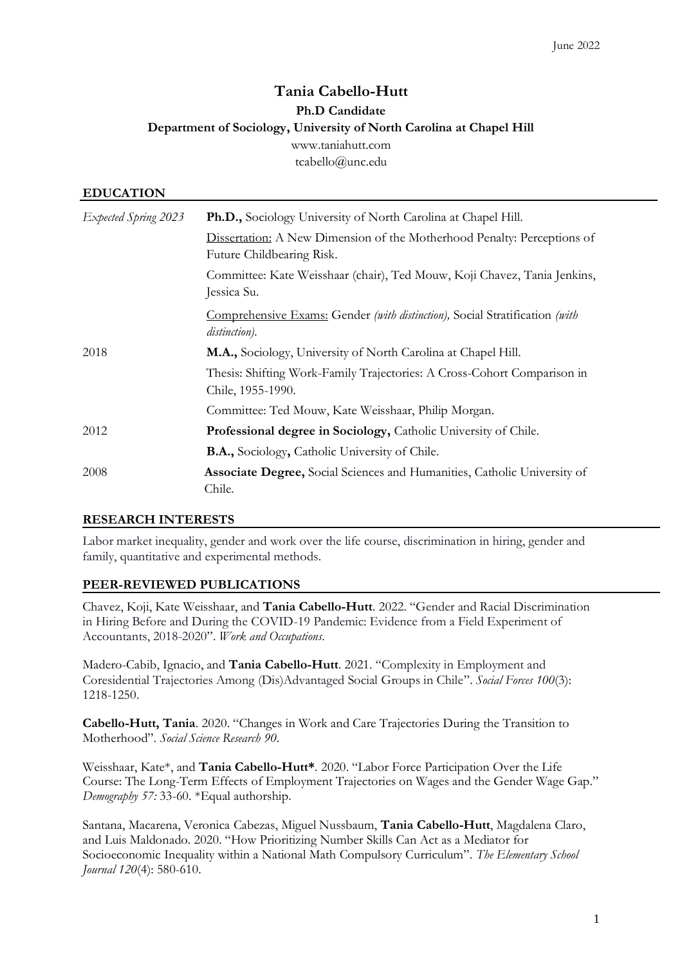## **Tania Cabello-Hutt Ph.D Candidate Department of Sociology, University of North Carolina at Chapel Hill** [www.taniahutt.com](http://www.taniahutt.com/) tcabello@unc.edu

# **EDUCATION** *Expected Spring 2023* **Ph.D.,** Sociology University of North Carolina at Chapel Hill. Dissertation: A New Dimension of the Motherhood Penalty: Perceptions of Future Childbearing Risk. Committee: Kate Weisshaar (chair), Ted Mouw, Koji Chavez, Tania Jenkins, Jessica Su. Comprehensive Exams: Gender *(with distinction),* Social Stratification *(with distinction).* 2018 **M.A.,** Sociology, University of North Carolina at Chapel Hill. Thesis: Shifting Work-Family Trajectories: A Cross-Cohort Comparison in Chile, 1955-1990. Committee: Ted Mouw, Kate Weisshaar, Philip Morgan. 2012 **Professional degree in Sociology,** Catholic University of Chile. **B.A.,** Sociology**,** Catholic University of Chile. 2008 **Associate Degree,** Social Sciences and Humanities, Catholic University of Chile.

### **RESEARCH INTERESTS**

Labor market inequality, gender and work over the life course, discrimination in hiring, gender and family, quantitative and experimental methods.

### **PEER-REVIEWED PUBLICATIONS**

Chavez, Koji, Kate Weisshaar, and **Tania Cabello-Hutt**. 2022. "Gender and Racial Discrimination in Hiring Before and During the COVID-19 Pandemic: Evidence from a Field Experiment of Accountants, 2018-2020". *Work and Occupations*.

Madero-Cabib, Ignacio, and **Tania Cabello-Hutt**. 2021. "Complexity in Employment and Coresidential Trajectories Among (Dis)Advantaged Social Groups in Chile". *Social Forces 100*(3): 1218-1250.

**Cabello-Hutt, Tania**. 2020. "Changes in Work and Care Trajectories During the Transition to Motherhood". *Social Science Research 90*.

Weisshaar, Kate\*, and **Tania Cabello-Hutt\***. 2020. "Labor Force Participation Over the Life Course: The Long-Term Effects of Employment Trajectories on Wages and the Gender Wage Gap." *Demography 57:* 33-60. \*Equal authorship.

Santana, Macarena, Veronica Cabezas, Miguel Nussbaum, **Tania Cabello-Hutt**, Magdalena Claro, and Luis Maldonado. 2020. "How Prioritizing Number Skills Can Act as a Mediator for Socioeconomic Inequality within a National Math Compulsory Curriculum". *The Elementary School Journal 120*(4): 580-610.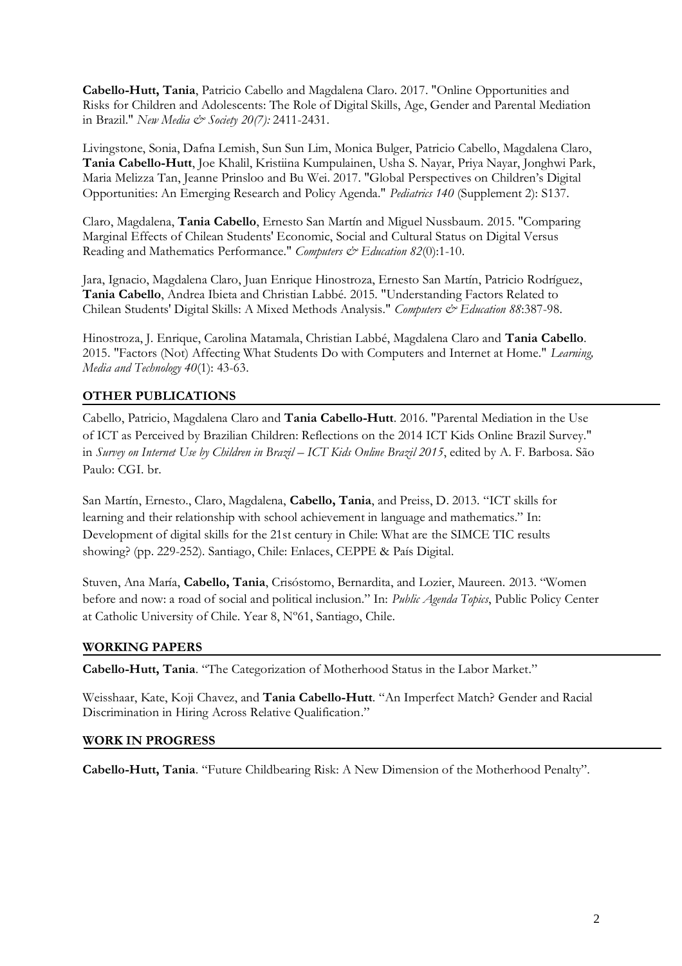**Cabello-Hutt, Tania**, Patricio Cabello and Magdalena Claro. 2017. "Online Opportunities and Risks for Children and Adolescents: The Role of Digital Skills, Age, Gender and Parental Mediation in Brazil." *New Media & Society 20(7):* 2411-2431.

Livingstone, Sonia, Dafna Lemish, Sun Sun Lim, Monica Bulger, Patricio Cabello, Magdalena Claro, **Tania Cabello-Hutt**, Joe Khalil, Kristiina Kumpulainen, Usha S. Nayar, Priya Nayar, Jonghwi Park, Maria Melizza Tan, Jeanne Prinsloo and Bu Wei. 2017. "Global Perspectives on Children's Digital Opportunities: An Emerging Research and Policy Agenda." *Pediatrics 140* (Supplement 2): S137.

Claro, Magdalena, **Tania Cabello**, Ernesto San Martín and Miguel Nussbaum. 2015. "Comparing Marginal Effects of Chilean Students' Economic, Social and Cultural Status on Digital Versus Reading and Mathematics Performance." *Computers & Education 82*(0):1-10.

Jara, Ignacio, Magdalena Claro, Juan Enrique Hinostroza, Ernesto San Martín, Patricio Rodríguez, **Tania Cabello**, Andrea Ibieta and Christian Labbé. 2015. "Understanding Factors Related to Chilean Students' Digital Skills: A Mixed Methods Analysis." *Computers & Education 88*:387-98.

Hinostroza, J. Enrique, Carolina Matamala, Christian Labbé, Magdalena Claro and **Tania Cabello**. 2015. "Factors (Not) Affecting What Students Do with Computers and Internet at Home." *Learning, Media and Technology 40*(1): 43-63.

### **OTHER PUBLICATIONS**

Cabello, Patricio, Magdalena Claro and **Tania Cabello-Hutt**. 2016. "Parental Mediation in the Use of ICT as Perceived by Brazilian Children: Reflections on the 2014 ICT Kids Online Brazil Survey." in *Survey on Internet Use by Children in Brazil – ICT Kids Online Brazil 2015*, edited by A. F. Barbosa. São Paulo: CGI. br.

San Martín, Ernesto., Claro, Magdalena, **Cabello, Tania**, and Preiss, D. 2013. "ICT skills for learning and their relationship with school achievement in language and mathematics." In: Development of digital skills for the 21st century in Chile: What are the SIMCE TIC results showing? (pp. 229-252). Santiago, Chile: Enlaces, CEPPE & País Digital.

Stuven, Ana María, **Cabello, Tania**, Crisóstomo, Bernardita, and Lozier, Maureen. 2013. "Women before and now: a road of social and political inclusion." In: *Public Agenda Topics*, Public Policy Center at Catholic University of Chile. Year 8, Nº61, Santiago, Chile.

#### **WORKING PAPERS**

**Cabello-Hutt, Tania**. "The Categorization of Motherhood Status in the Labor Market."

Weisshaar, Kate, Koji Chavez, and **Tania Cabello-Hutt**. "An Imperfect Match? Gender and Racial Discrimination in Hiring Across Relative Qualification."

#### **WORK IN PROGRESS**

**Cabello-Hutt, Tania**. "Future Childbearing Risk: A New Dimension of the Motherhood Penalty".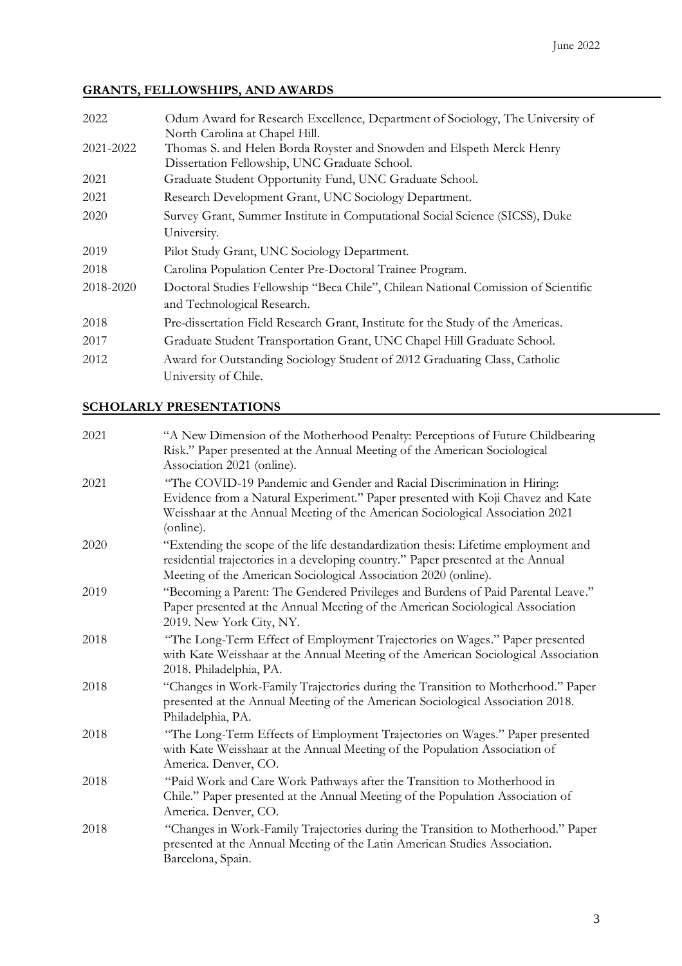# **GRANTS, FELLOWSHIPS, AND AWARDS**

| 2022      | Odum Award for Research Excellence, Department of Sociology, The University of<br>North Carolina at Chapel Hill.       |
|-----------|------------------------------------------------------------------------------------------------------------------------|
| 2021-2022 | Thomas S. and Helen Borda Royster and Snowden and Elspeth Merck Henry<br>Dissertation Fellowship, UNC Graduate School. |
| 2021      | Graduate Student Opportunity Fund, UNC Graduate School.                                                                |
| 2021      | Research Development Grant, UNC Sociology Department.                                                                  |
| 2020      | Survey Grant, Summer Institute in Computational Social Science (SICSS), Duke                                           |
|           | University.                                                                                                            |
| 2019      | Pilot Study Grant, UNC Sociology Department.                                                                           |
| 2018      | Carolina Population Center Pre-Doctoral Trainee Program.                                                               |
| 2018-2020 | Doctoral Studies Fellowship "Beca Chile", Chilean National Comission of Scientific<br>and Technological Research.      |
| 2018      | Pre-dissertation Field Research Grant, Institute for the Study of the Americas.                                        |
| 2017      | Graduate Student Transportation Grant, UNC Chapel Hill Graduate School.                                                |
| 2012      | Award for Outstanding Sociology Student of 2012 Graduating Class, Catholic<br>University of Chile.                     |

### **SCHOLARLY PRESENTATIONS**

| 2021 | "A New Dimension of the Motherhood Penalty: Perceptions of Future Childbearing<br>Risk." Paper presented at the Annual Meeting of the American Sociological<br>Association 2021 (online).                                                              |
|------|--------------------------------------------------------------------------------------------------------------------------------------------------------------------------------------------------------------------------------------------------------|
| 2021 | "The COVID-19 Pandemic and Gender and Racial Discrimination in Hiring:<br>Evidence from a Natural Experiment." Paper presented with Koji Chavez and Kate<br>Weisshaar at the Annual Meeting of the American Sociological Association 2021<br>(online). |
| 2020 | "Extending the scope of the life destandardization thesis: Lifetime employment and<br>residential trajectories in a developing country." Paper presented at the Annual<br>Meeting of the American Sociological Association 2020 (online).              |
| 2019 | "Becoming a Parent: The Gendered Privileges and Burdens of Paid Parental Leave."<br>Paper presented at the Annual Meeting of the American Sociological Association<br>2019. New York City, NY.                                                         |
| 2018 | "The Long-Term Effect of Employment Trajectories on Wages." Paper presented<br>with Kate Weisshaar at the Annual Meeting of the American Sociological Association<br>2018. Philadelphia, PA.                                                           |
| 2018 | "Changes in Work-Family Trajectories during the Transition to Motherhood." Paper<br>presented at the Annual Meeting of the American Sociological Association 2018.<br>Philadelphia, PA.                                                                |
| 2018 | "The Long-Term Effects of Employment Trajectories on Wages." Paper presented<br>with Kate Weisshaar at the Annual Meeting of the Population Association of<br>America. Denver, CO.                                                                     |
| 2018 | "Paid Work and Care Work Pathways after the Transition to Motherhood in<br>Chile." Paper presented at the Annual Meeting of the Population Association of<br>America. Denver, CO.                                                                      |
| 2018 | "Changes in Work-Family Trajectories during the Transition to Motherhood." Paper<br>presented at the Annual Meeting of the Latin American Studies Association.<br>Barcelona, Spain.                                                                    |